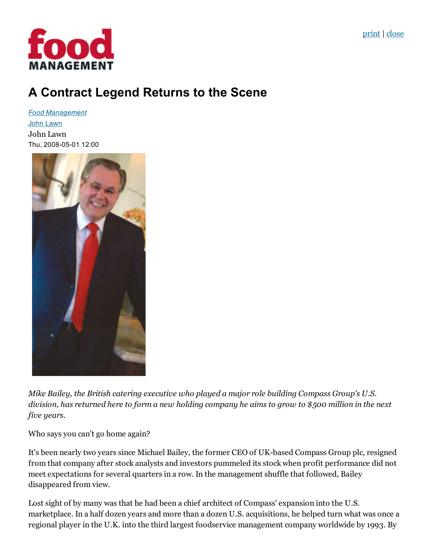

# A Contract Legend Returns to the Scene

*Food [Management](http://food-management.com/food-management)* John [Lawn](http://food-management.com/author/john-lawn) John Lawn Thu, 2008-05-01 12:00



Mike Bailey, the British catering executive who played a major role building Compass Group's U.S. division, has returned here to form a new holding company he aims to grow to \$500 million in the next five years.

Who says you can't go home again?

It's been nearly two years since Michael Bailey, the former CEO of UK-based Compass Group plc, resigned from that company after stock analysts and investors pummeled its stock when profit performance did not meet expectations for several quarters in a row. In the management shuffle that followed, Bailey disappeared from view.

Lost sight of by many was that he had been a chief architect of Compass' expansion into the U.S. marketplace. In a half dozen years and more than a dozen U.S. acquisitions, he helped turn what was once a regional player in the U.K. into the third largest foodservice management company worldwide by 1993. By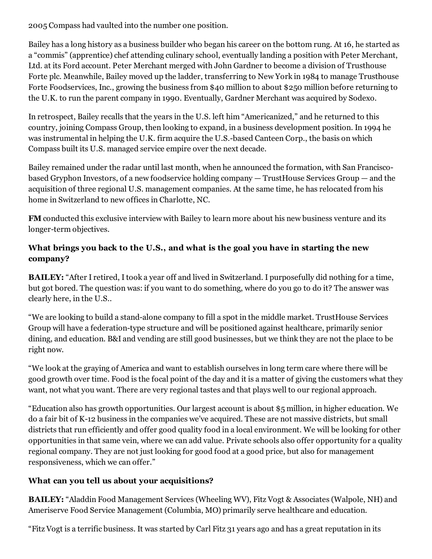2005 Compass had vaulted into the number one position.

Bailey has a long history as a business builder who began his career on the bottom rung. At 16, he started as a "commis" (apprentice) chef attending culinary school, eventually landing a position with Peter Merchant, Ltd. at its Ford account. Peter Merchant merged with John Gardner to become a division of Trusthouse Forte plc. Meanwhile, Bailey moved up the ladder, transferring to New York in 1984 to manage Trusthouse Forte Foodservices, Inc., growing the business from \$40 million to about \$250 million before returning to the U.K. to run the parent company in 1990. Eventually, Gardner Merchant was acquired by Sodexo.

In retrospect, Bailey recalls that the years in the U.S. left him "Americanized," and he returned to this country, joining Compass Group, then looking to expand, in a business development position. In 1994 he was instrumental in helping the U.K. firm acquire the U.S.-based Canteen Corp., the basis on which Compass built its U.S. managed service empire over the next decade.

Bailey remained under the radar until last month, when he announced the formation, with San Franciscobased Gryphon Investors, of a new foodservice holding company — TrustHouse Services Group — and the acquisition of three regional U.S. management companies. At the same time, he has relocated from his home in Switzerland to new offices in Charlotte, NC.

FM conducted this exclusive interview with Bailey to learn more about his new business venture and its longer-term objectives.

## What brings you back to the U.S., and what is the goal you have in starting the new company?

BAILEY: "After I retired, Itook a year off and lived in Switzerland. I purposefully did nothing for a time, but got bored. The question was: if you want to do something, where do you go to do it? The answer was clearly here, in the U.S..

"We are looking to build a stand-alone company to fill a spot in the middle market. TrustHouse Services Group will have a federation-type structure and will be positioned against healthcare, primarily senior dining, and education. B&I and vending are still good businesses, but we think they are not the place to be right now.

"We look at the graying of America and want to establish ourselves in long term care where there will be good growth over time. Food is the focal point of the day and it is a matter of giving the customers what they want, not what you want. There are very regional tastes and that plays well to our regional approach.

"Education also has growth opportunities. Our largest account is about \$5 million, in higher education. We do a fair bit of K12 business in the companies we've acquired. These are not massive districts, but small districts that run efficiently and offer good quality food in a local environment. We will be looking for other opportunities in that same vein, where we can add value. Private schools also offer opportunity for a quality regional company. They are not just looking for good food at a good price, but also for management responsiveness, which we can offer."

## What can you tell us about your acquisitions?

BAILEY: "Aladdin Food Management Services (Wheeling WV), Fitz Vogt & Associates (Walpole, NH) and Ameriserve Food Service Management (Columbia, MO) primarily serve healthcare and education.

"Fitz Vogt is a terrific business. It was started by Carl Fitz 31 years ago and has a great reputation in its